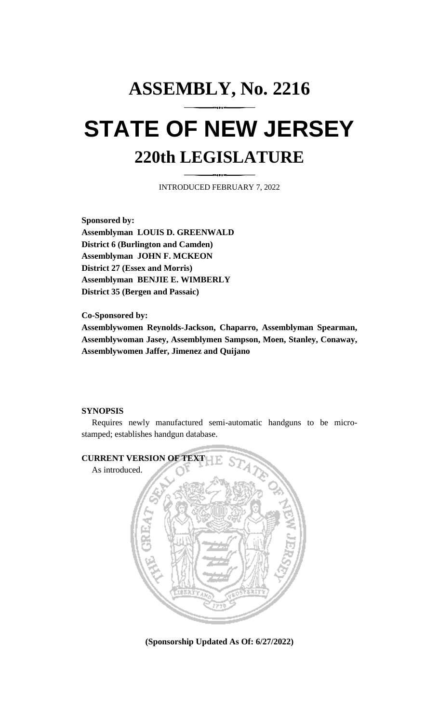# **ASSEMBLY, No. 2216 STATE OF NEW JERSEY 220th LEGISLATURE**

INTRODUCED FEBRUARY 7, 2022

**Sponsored by: Assemblyman LOUIS D. GREENWALD District 6 (Burlington and Camden) Assemblyman JOHN F. MCKEON District 27 (Essex and Morris) Assemblyman BENJIE E. WIMBERLY District 35 (Bergen and Passaic)**

**Co-Sponsored by: Assemblywomen Reynolds-Jackson, Chaparro, Assemblyman Spearman, Assemblywoman Jasey, Assemblymen Sampson, Moen, Stanley, Conaway, Assemblywomen Jaffer, Jimenez and Quijano**

## **SYNOPSIS**

Requires newly manufactured semi-automatic handguns to be microstamped; establishes handgun database.



**(Sponsorship Updated As Of: 6/27/2022)**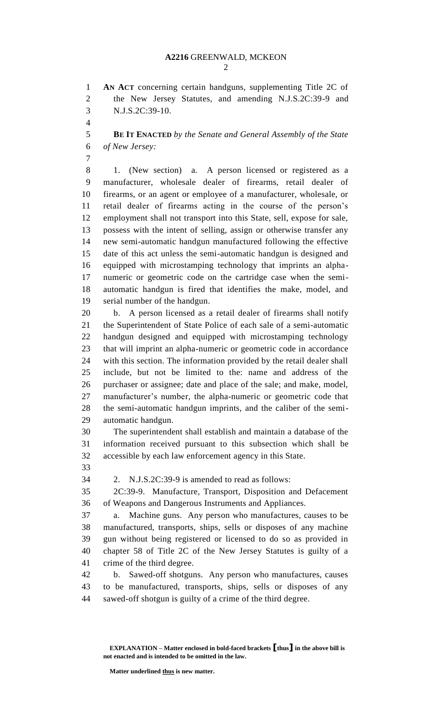## **A2216** GREENWALD, MCKEON

 **AN ACT** concerning certain handguns, supplementing Title 2C of the New Jersey Statutes, and amending N.J.S.2C:39-9 and N.J.S.2C:39-10.

 **BE IT ENACTED** *by the Senate and General Assembly of the State of New Jersey:*

 1. (New section) a. A person licensed or registered as a manufacturer, wholesale dealer of firearms, retail dealer of firearms, or an agent or employee of a manufacturer, wholesale, or retail dealer of firearms acting in the course of the person's employment shall not transport into this State, sell, expose for sale, possess with the intent of selling, assign or otherwise transfer any new semi-automatic handgun manufactured following the effective date of this act unless the semi-automatic handgun is designed and equipped with microstamping technology that imprints an alpha- numeric or geometric code on the cartridge case when the semi- automatic handgun is fired that identifies the make, model, and serial number of the handgun.

 b. A person licensed as a retail dealer of firearms shall notify the Superintendent of State Police of each sale of a semi-automatic handgun designed and equipped with microstamping technology that will imprint an alpha-numeric or geometric code in accordance with this section. The information provided by the retail dealer shall include, but not be limited to the: name and address of the purchaser or assignee; date and place of the sale; and make, model, manufacturer's number, the alpha-numeric or geometric code that the semi-automatic handgun imprints, and the caliber of the semi-automatic handgun.

 The superintendent shall establish and maintain a database of the information received pursuant to this subsection which shall be accessible by each law enforcement agency in this State.

2. N.J.S.2C:39-9 is amended to read as follows:

 2C:39-9. Manufacture, Transport, Disposition and Defacement of Weapons and Dangerous Instruments and Appliances.

 a. Machine guns. Any person who manufactures, causes to be manufactured, transports, ships, sells or disposes of any machine gun without being registered or licensed to do so as provided in chapter 58 of Title 2C of the New Jersey Statutes is guilty of a crime of the third degree.

 b. Sawed-off shotguns. Any person who manufactures, causes to be manufactured, transports, ships, sells or disposes of any sawed-off shotgun is guilty of a crime of the third degree.

**Matter underlined thus is new matter.**

**EXPLANATION – Matter enclosed in bold-faced brackets [thus] in the above bill is not enacted and is intended to be omitted in the law.**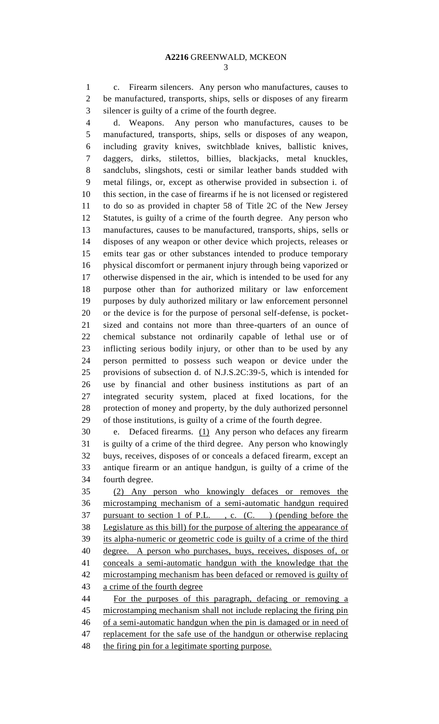c. Firearm silencers. Any person who manufactures, causes to be manufactured, transports, ships, sells or disposes of any firearm silencer is guilty of a crime of the fourth degree.

 d. Weapons. Any person who manufactures, causes to be manufactured, transports, ships, sells or disposes of any weapon, including gravity knives, switchblade knives, ballistic knives, daggers, dirks, stilettos, billies, blackjacks, metal knuckles, sandclubs, slingshots, cesti or similar leather bands studded with metal filings, or, except as otherwise provided in subsection i. of this section, in the case of firearms if he is not licensed or registered to do so as provided in chapter 58 of Title 2C of the New Jersey Statutes, is guilty of a crime of the fourth degree. Any person who manufactures, causes to be manufactured, transports, ships, sells or disposes of any weapon or other device which projects, releases or emits tear gas or other substances intended to produce temporary physical discomfort or permanent injury through being vaporized or otherwise dispensed in the air, which is intended to be used for any purpose other than for authorized military or law enforcement purposes by duly authorized military or law enforcement personnel or the device is for the purpose of personal self-defense, is pocket- sized and contains not more than three-quarters of an ounce of chemical substance not ordinarily capable of lethal use or of inflicting serious bodily injury, or other than to be used by any person permitted to possess such weapon or device under the provisions of subsection d. of N.J.S.2C:39-5, which is intended for use by financial and other business institutions as part of an integrated security system, placed at fixed locations, for the protection of money and property, by the duly authorized personnel of those institutions, is guilty of a crime of the fourth degree.

 e. Defaced firearms. (1) Any person who defaces any firearm is guilty of a crime of the third degree. Any person who knowingly buys, receives, disposes of or conceals a defaced firearm, except an antique firearm or an antique handgun, is guilty of a crime of the fourth degree.

 (2) Any person who knowingly defaces or removes the microstamping mechanism of a semi-automatic handgun required pursuant to section 1 of P.L. , c. (C. ) (pending before the Legislature as this bill) for the purpose of altering the appearance of its alpha-numeric or geometric code is guilty of a crime of the third degree. A person who purchases, buys, receives, disposes of, or conceals a semi-automatic handgun with the knowledge that the microstamping mechanism has been defaced or removed is guilty of a crime of the fourth degree

 For the purposes of this paragraph, defacing or removing a microstamping mechanism shall not include replacing the firing pin of a semi-automatic handgun when the pin is damaged or in need of 47 replacement for the safe use of the handgun or otherwise replacing 48 the firing pin for a legitimate sporting purpose.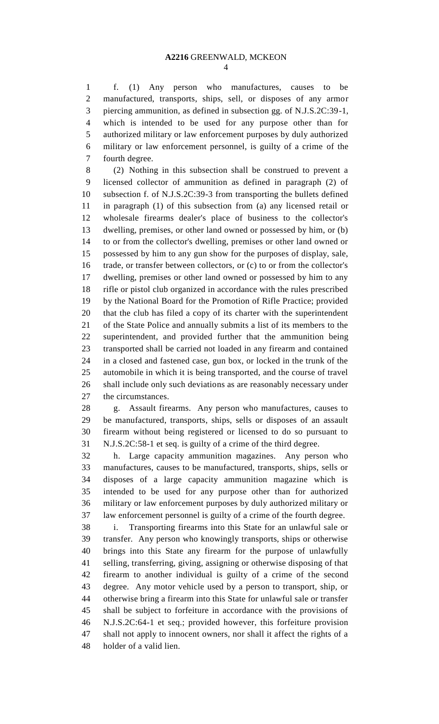f. (1) Any person who manufactures, causes to be manufactured, transports, ships, sell, or disposes of any armor piercing ammunition, as defined in subsection gg. of N.J.S.2C:39-1, which is intended to be used for any purpose other than for authorized military or law enforcement purposes by duly authorized military or law enforcement personnel, is guilty of a crime of the fourth degree.

 (2) Nothing in this subsection shall be construed to prevent a licensed collector of ammunition as defined in paragraph (2) of subsection f. of N.J.S.2C:39-3 from transporting the bullets defined in paragraph (1) of this subsection from (a) any licensed retail or wholesale firearms dealer's place of business to the collector's dwelling, premises, or other land owned or possessed by him, or (b) to or from the collector's dwelling, premises or other land owned or possessed by him to any gun show for the purposes of display, sale, trade, or transfer between collectors, or (c) to or from the collector's dwelling, premises or other land owned or possessed by him to any rifle or pistol club organized in accordance with the rules prescribed by the National Board for the Promotion of Rifle Practice; provided that the club has filed a copy of its charter with the superintendent of the State Police and annually submits a list of its members to the superintendent, and provided further that the ammunition being transported shall be carried not loaded in any firearm and contained in a closed and fastened case, gun box, or locked in the trunk of the automobile in which it is being transported, and the course of travel shall include only such deviations as are reasonably necessary under the circumstances.

 g. Assault firearms. Any person who manufactures, causes to be manufactured, transports, ships, sells or disposes of an assault firearm without being registered or licensed to do so pursuant to N.J.S.2C:58-1 et seq. is guilty of a crime of the third degree.

 h. Large capacity ammunition magazines. Any person who manufactures, causes to be manufactured, transports, ships, sells or disposes of a large capacity ammunition magazine which is intended to be used for any purpose other than for authorized military or law enforcement purposes by duly authorized military or law enforcement personnel is guilty of a crime of the fourth degree.

 i. Transporting firearms into this State for an unlawful sale or transfer. Any person who knowingly transports, ships or otherwise brings into this State any firearm for the purpose of unlawfully selling, transferring, giving, assigning or otherwise disposing of that firearm to another individual is guilty of a crime of the second degree. Any motor vehicle used by a person to transport, ship, or otherwise bring a firearm into this State for unlawful sale or transfer shall be subject to forfeiture in accordance with the provisions of N.J.S.2C:64-1 et seq.; provided however, this forfeiture provision shall not apply to innocent owners, nor shall it affect the rights of a holder of a valid lien.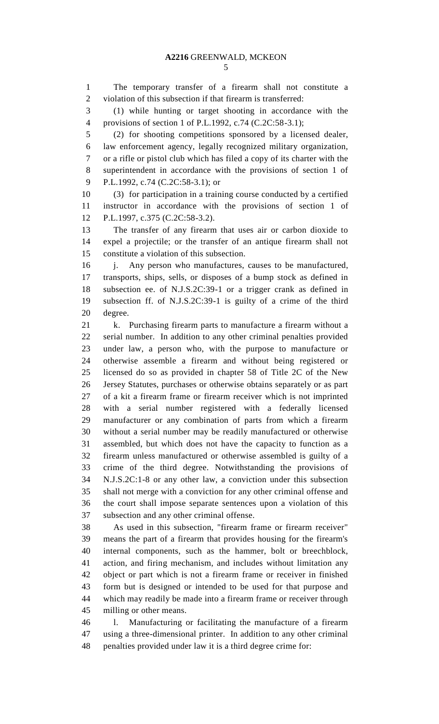The temporary transfer of a firearm shall not constitute a violation of this subsection if that firearm is transferred:

 (1) while hunting or target shooting in accordance with the provisions of section 1 of P.L.1992, c.74 (C.2C:58-3.1);

 (2) for shooting competitions sponsored by a licensed dealer, law enforcement agency, legally recognized military organization, or a rifle or pistol club which has filed a copy of its charter with the superintendent in accordance with the provisions of section 1 of P.L.1992, c.74 (C.2C:58-3.1); or

 (3) for participation in a training course conducted by a certified instructor in accordance with the provisions of section 1 of P.L.1997, c.375 (C.2C:58-3.2).

 The transfer of any firearm that uses air or carbon dioxide to expel a projectile; or the transfer of an antique firearm shall not constitute a violation of this subsection.

16 i. Any person who manufactures, causes to be manufactured, transports, ships, sells, or disposes of a bump stock as defined in subsection ee. of N.J.S.2C:39-1 or a trigger crank as defined in subsection ff. of N.J.S.2C:39-1 is guilty of a crime of the third degree.

 k. Purchasing firearm parts to manufacture a firearm without a serial number. In addition to any other criminal penalties provided under law, a person who, with the purpose to manufacture or otherwise assemble a firearm and without being registered or licensed do so as provided in chapter 58 of Title 2C of the New Jersey Statutes, purchases or otherwise obtains separately or as part of a kit a firearm frame or firearm receiver which is not imprinted with a serial number registered with a federally licensed manufacturer or any combination of parts from which a firearm without a serial number may be readily manufactured or otherwise assembled, but which does not have the capacity to function as a firearm unless manufactured or otherwise assembled is guilty of a crime of the third degree. Notwithstanding the provisions of N.J.S.2C:1-8 or any other law, a conviction under this subsection shall not merge with a conviction for any other criminal offense and the court shall impose separate sentences upon a violation of this subsection and any other criminal offense.

 As used in this subsection, "firearm frame or firearm receiver" means the part of a firearm that provides housing for the firearm's internal components, such as the hammer, bolt or breechblock, action, and firing mechanism, and includes without limitation any object or part which is not a firearm frame or receiver in finished form but is designed or intended to be used for that purpose and which may readily be made into a firearm frame or receiver through milling or other means.

 l. Manufacturing or facilitating the manufacture of a firearm using a three-dimensional printer. In addition to any other criminal penalties provided under law it is a third degree crime for: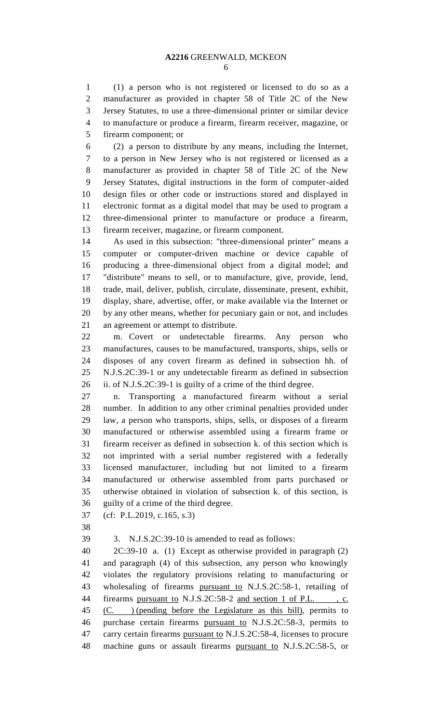(1) a person who is not registered or licensed to do so as a manufacturer as provided in chapter 58 of Title 2C of the New Jersey Statutes, to use a three-dimensional printer or similar device to manufacture or produce a firearm, firearm receiver, magazine, or firearm component; or

 (2) a person to distribute by any means, including the Internet, to a person in New Jersey who is not registered or licensed as a manufacturer as provided in chapter 58 of Title 2C of the New Jersey Statutes, digital instructions in the form of computer-aided design files or other code or instructions stored and displayed in electronic format as a digital model that may be used to program a three-dimensional printer to manufacture or produce a firearm, firearm receiver, magazine, or firearm component.

 As used in this subsection: "three-dimensional printer" means a computer or computer-driven machine or device capable of producing a three-dimensional object from a digital model; and "distribute" means to sell, or to manufacture, give, provide, lend, trade, mail, deliver, publish, circulate, disseminate, present, exhibit, display, share, advertise, offer, or make available via the Internet or by any other means, whether for pecuniary gain or not, and includes an agreement or attempt to distribute.

 m. Covert or undetectable firearms. Any person who manufactures, causes to be manufactured, transports, ships, sells or disposes of any covert firearm as defined in subsection hh. of N.J.S.2C:39-1 or any undetectable firearm as defined in subsection ii. of N.J.S.2C:39-1 is guilty of a crime of the third degree.

 n. Transporting a manufactured firearm without a serial number. In addition to any other criminal penalties provided under law, a person who transports, ships, sells, or disposes of a firearm manufactured or otherwise assembled using a firearm frame or firearm receiver as defined in subsection k. of this section which is not imprinted with a serial number registered with a federally licensed manufacturer, including but not limited to a firearm manufactured or otherwise assembled from parts purchased or otherwise obtained in violation of subsection k. of this section, is guilty of a crime of the third degree.

- (cf: P.L.2019, c.165, s.3)
- 

3. N.J.S.2C:39-10 is amended to read as follows:

 2C:39-10 a. (1) Except as otherwise provided in paragraph (2) and paragraph (4) of this subsection, any person who knowingly violates the regulatory provisions relating to manufacturing or wholesaling of firearms pursuant to N.J.S.2C:58-1, retailing of 44 firearms pursuant to N.J.S.2C:58-2 and section 1 of P.L. , c. (C. ) (pending before the Legislature as this bill), permits to purchase certain firearms pursuant to N.J.S.2C:58-3, permits to carry certain firearms pursuant to N.J.S.2C:58-4, licenses to procure machine guns or assault firearms pursuant to N.J.S.2C:58-5, or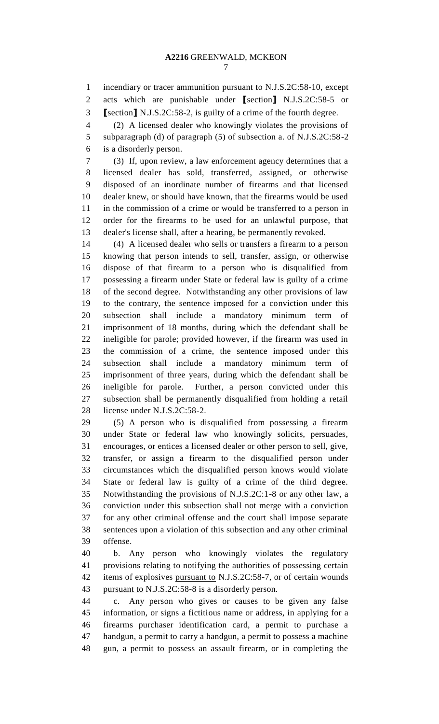incendiary or tracer ammunition pursuant to N.J.S.2C:58-10, except acts which are punishable under **[**section**]** N.J.S.2C:58-5 or **[**section**]** N.J.S.2C:58-2, is guilty of a crime of the fourth degree.

 (2) A licensed dealer who knowingly violates the provisions of subparagraph (d) of paragraph (5) of subsection a. of N.J.S.2C:58-2 is a disorderly person.

 (3) If, upon review, a law enforcement agency determines that a licensed dealer has sold, transferred, assigned, or otherwise disposed of an inordinate number of firearms and that licensed dealer knew, or should have known, that the firearms would be used in the commission of a crime or would be transferred to a person in order for the firearms to be used for an unlawful purpose, that dealer's license shall, after a hearing, be permanently revoked.

 (4) A licensed dealer who sells or transfers a firearm to a person knowing that person intends to sell, transfer, assign, or otherwise dispose of that firearm to a person who is disqualified from possessing a firearm under State or federal law is guilty of a crime of the second degree. Notwithstanding any other provisions of law to the contrary, the sentence imposed for a conviction under this subsection shall include a mandatory minimum term of imprisonment of 18 months, during which the defendant shall be ineligible for parole; provided however, if the firearm was used in the commission of a crime, the sentence imposed under this subsection shall include a mandatory minimum term of imprisonment of three years, during which the defendant shall be ineligible for parole. Further, a person convicted under this subsection shall be permanently disqualified from holding a retail license under N.J.S.2C:58-2.

 (5) A person who is disqualified from possessing a firearm under State or federal law who knowingly solicits, persuades, encourages, or entices a licensed dealer or other person to sell, give, transfer, or assign a firearm to the disqualified person under circumstances which the disqualified person knows would violate State or federal law is guilty of a crime of the third degree. Notwithstanding the provisions of N.J.S.2C:1-8 or any other law, a conviction under this subsection shall not merge with a conviction for any other criminal offense and the court shall impose separate sentences upon a violation of this subsection and any other criminal offense.

 b. Any person who knowingly violates the regulatory provisions relating to notifying the authorities of possessing certain items of explosives pursuant to N.J.S.2C:58-7, or of certain wounds pursuant to N.J.S.2C:58-8 is a disorderly person.

 c. Any person who gives or causes to be given any false information, or signs a fictitious name or address, in applying for a firearms purchaser identification card, a permit to purchase a handgun, a permit to carry a handgun, a permit to possess a machine gun, a permit to possess an assault firearm, or in completing the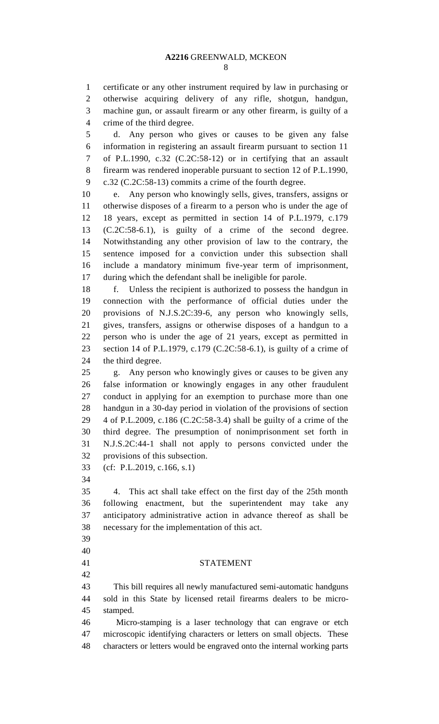certificate or any other instrument required by law in purchasing or otherwise acquiring delivery of any rifle, shotgun, handgun, machine gun, or assault firearm or any other firearm, is guilty of a crime of the third degree.

 d. Any person who gives or causes to be given any false information in registering an assault firearm pursuant to section 11 of P.L.1990, c.32 (C.2C:58-12) or in certifying that an assault firearm was rendered inoperable pursuant to section 12 of P.L.1990, c.32 (C.2C:58-13) commits a crime of the fourth degree.

 e. Any person who knowingly sells, gives, transfers, assigns or otherwise disposes of a firearm to a person who is under the age of 18 years, except as permitted in section 14 of P.L.1979, c.179 (C.2C:58-6.1), is guilty of a crime of the second degree. Notwithstanding any other provision of law to the contrary, the sentence imposed for a conviction under this subsection shall include a mandatory minimum five-year term of imprisonment, during which the defendant shall be ineligible for parole.

 f. Unless the recipient is authorized to possess the handgun in connection with the performance of official duties under the provisions of N.J.S.2C:39-6, any person who knowingly sells, gives, transfers, assigns or otherwise disposes of a handgun to a person who is under the age of 21 years, except as permitted in section 14 of P.L.1979, c.179 (C.2C:58-6.1), is guilty of a crime of the third degree.

 g. Any person who knowingly gives or causes to be given any false information or knowingly engages in any other fraudulent conduct in applying for an exemption to purchase more than one handgun in a 30-day period in violation of the provisions of section 4 of P.L.2009, c.186 (C.2C:58-3.4) shall be guilty of a crime of the third degree. The presumption of nonimprisonment set forth in N.J.S.2C:44-1 shall not apply to persons convicted under the provisions of this subsection.

(cf: P.L.2019, c.166, s.1)

 4. This act shall take effect on the first day of the 25th month following enactment, but the superintendent may take any anticipatory administrative action in advance thereof as shall be necessary for the implementation of this act.

- 
- 

#### STATEMENT

 This bill requires all newly manufactured semi-automatic handguns sold in this State by licensed retail firearms dealers to be micro-stamped.

 Micro-stamping is a laser technology that can engrave or etch microscopic identifying characters or letters on small objects. These characters or letters would be engraved onto the internal working parts